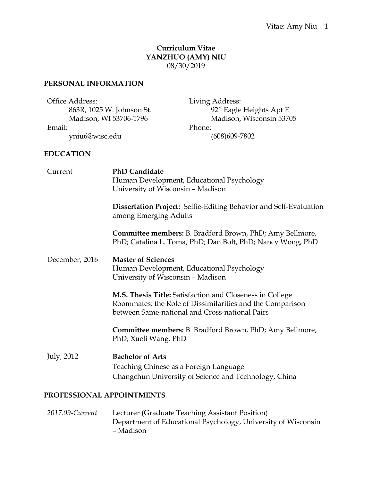# **Curriculum Vitae YANZHUO (AMY) NIU** 08/30/2019

## **PERSONAL INFORMATION**

| Office Address:           | Living Address:          |
|---------------------------|--------------------------|
| 863R, 1025 W. Johnson St. | 921 Eagle Heights Apt E  |
| Madison, WI 53706-1796    | Madison, Wisconsin 53705 |
| Email:                    | Phone:                   |
| yniu6@wisc.edu            | $(608)609 - 7802$        |

#### **EDUCATION**

| Current                   | <b>PhD Candidate</b><br>Human Development, Educational Psychology<br>University of Wisconsin - Madison                                                                  |  |  |
|---------------------------|-------------------------------------------------------------------------------------------------------------------------------------------------------------------------|--|--|
|                           | <b>Dissertation Project:</b> Selfie-Editing Behavior and Self-Evaluation<br>among Emerging Adults                                                                       |  |  |
|                           | Committee members: B. Bradford Brown, PhD; Amy Bellmore,<br>PhD; Catalina L. Toma, PhD; Dan Bolt, PhD; Nancy Wong, PhD                                                  |  |  |
| December, 2016            | <b>Master of Sciences</b><br>Human Development, Educational Psychology<br>University of Wisconsin - Madison                                                             |  |  |
|                           | M.S. Thesis Title: Satisfaction and Closeness in College<br>Roommates: the Role of Dissimilarities and the Comparison<br>between Same-national and Cross-national Pairs |  |  |
|                           | Committee members: B. Bradford Brown, PhD; Amy Bellmore,<br>PhD; Xueli Wang, PhD                                                                                        |  |  |
| July, 2012                | <b>Bachelor of Arts</b><br>Teaching Chinese as a Foreign Language<br>Changchun University of Science and Technology, China                                              |  |  |
| PROFESSIONAL APPOINTMENTS |                                                                                                                                                                         |  |  |
|                           | 2017.00 Current Locking Creducto Topoling Assistant Doction                                                                                                             |  |  |

*2017.09-Current* Lecturer (Graduate Teaching Assistant Position) Department of Educational Psychology, University of Wisconsin – Madison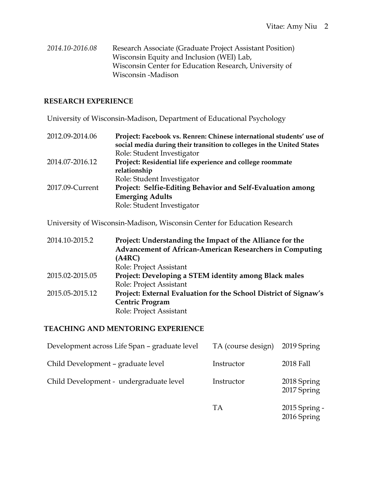*2014.10-2016.08* Research Associate (Graduate Project Assistant Position) Wisconsin Equity and Inclusion (WEI) Lab, Wisconsin Center for Education Research, University of Wisconsin -Madison

### **RESEARCH EXPERIENCE**

University of Wisconsin-Madison, Department of Educational Psychology

| 2012.09-2014.06 | Project: Facebook vs. Renren: Chinese international students' use of<br>social media during their transition to colleges in the United States |
|-----------------|-----------------------------------------------------------------------------------------------------------------------------------------------|
|                 | Role: Student Investigator                                                                                                                    |
| 2014.07-2016.12 | Project: Residential life experience and college roommate                                                                                     |
|                 | relationship                                                                                                                                  |
|                 | Role: Student Investigator                                                                                                                    |
| 2017.09-Current | Project: Selfie-Editing Behavior and Self-Evaluation among                                                                                    |
|                 | <b>Emerging Adults</b>                                                                                                                        |
|                 | Role: Student Investigator                                                                                                                    |

University of Wisconsin-Madison, Wisconsin Center for Education Research

| 2014.10-2015.2  | Project: Understanding the Impact of the Alliance for the        |
|-----------------|------------------------------------------------------------------|
|                 | <b>Advancement of African-American Researchers in Computing</b>  |
|                 | (A4RC)                                                           |
|                 | Role: Project Assistant                                          |
| 2015.02-2015.05 | Project: Developing a STEM identity among Black males            |
|                 | Role: Project Assistant                                          |
| 2015.05-2015.12 | Project: External Evaluation for the School District of Signaw's |
|                 | <b>Centric Program</b>                                           |
|                 | Role: Project Assistant                                          |

### **TEACHING AND MENTORING EXPERIENCE**

| Development across Life Span - graduate level | TA (course design) | 2019 Spring                  |
|-----------------------------------------------|--------------------|------------------------------|
| Child Development – graduate level            | Instructor         | 2018 Fall                    |
| Child Development - undergraduate level       | Instructor         | 2018 Spring<br>2017 Spring   |
|                                               | TA                 | 2015 Spring -<br>2016 Spring |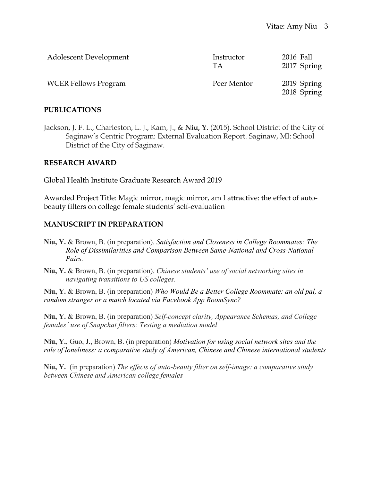| Adolescent Development      | Instructor<br>TА | 2016 Fall<br>2017 Spring   |
|-----------------------------|------------------|----------------------------|
| <b>WCER Fellows Program</b> | Peer Mentor      | 2019 Spring<br>2018 Spring |

#### **PUBLICATIONS**

Jackson, J. F. L., Charleston, L. J., Kam, J., & **Niu, Y**. (2015). School District of the City of Saginaw's Centric Program: External Evaluation Report. Saginaw, MI: School District of the City of Saginaw.

#### **RESEARCH AWARD**

Global Health Institute Graduate Research Award 2019

Awarded Project Title: Magic mirror, magic mirror, am I attractive: the effect of autobeauty filters on college female students' self-evaluation

#### **MANUSCRIPT IN PREPARATION**

- **Niu, Y.** & Brown, B. (in preparation). *Satisfaction and Closeness in College Roommates: The Role of Dissimilarities and Comparison Between Same-National and Cross-National Pairs.*
- **Niu, Y.** & Brown, B. (in preparation). *Chinese students' use of social networking sites in navigating transitions to US colleges*.

**Niu, Y.** & Brown, B. (in preparation) *Who Would Be a Better College Roommate: an old pal, a random stranger or a match located via Facebook App RoomSync?*

**Niu, Y.** & Brown, B. (in preparation) *Self-concept clarity, Appearance Schemas, and College females' use of Snapchat filters: Testing a mediation model*

**Niu, Y.**, Guo, J., Brown, B. (in preparation) *Motivation for using social network sites and the role of loneliness: a comparative study of American, Chinese and Chinese international students* 

**Niu, Y.** (in preparation) *The effects of auto-beauty filter on self-image: a comparative study between Chinese and American college females*